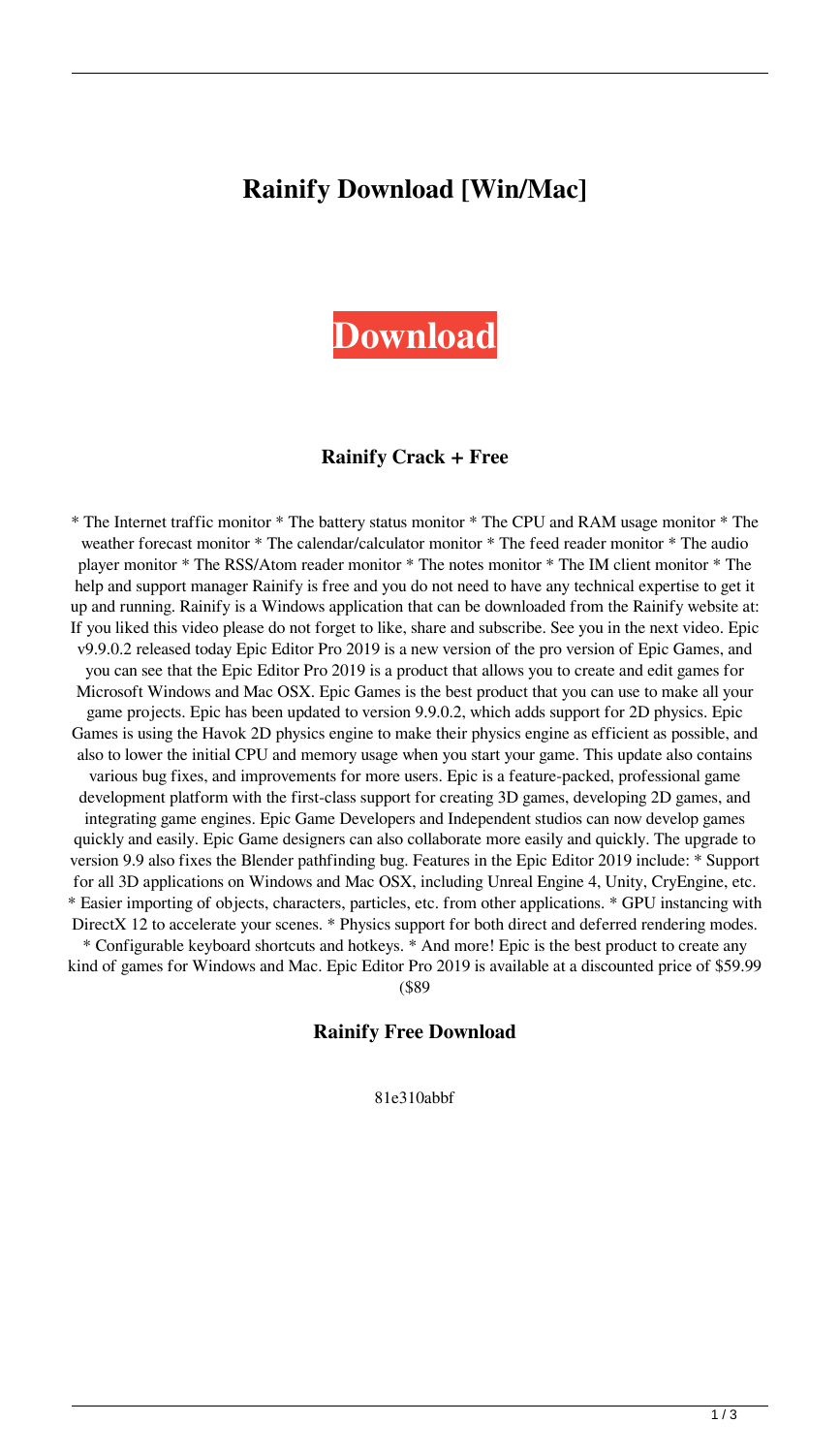# **Rainify Download [Win/Mac]**



#### **Rainify Crack + Free**

\* The Internet traffic monitor \* The battery status monitor \* The CPU and RAM usage monitor \* The weather forecast monitor \* The calendar/calculator monitor \* The feed reader monitor \* The audio player monitor \* The RSS/Atom reader monitor \* The notes monitor \* The IM client monitor \* The help and support manager Rainify is free and you do not need to have any technical expertise to get it up and running. Rainify is a Windows application that can be downloaded from the Rainify website at: If you liked this video please do not forget to like, share and subscribe. See you in the next video. Epic v9.9.0.2 released today Epic Editor Pro 2019 is a new version of the pro version of Epic Games, and you can see that the Epic Editor Pro 2019 is a product that allows you to create and edit games for Microsoft Windows and Mac OSX. Epic Games is the best product that you can use to make all your game projects. Epic has been updated to version 9.9.0.2, which adds support for 2D physics. Epic Games is using the Havok 2D physics engine to make their physics engine as efficient as possible, and also to lower the initial CPU and memory usage when you start your game. This update also contains various bug fixes, and improvements for more users. Epic is a feature-packed, professional game development platform with the first-class support for creating 3D games, developing 2D games, and integrating game engines. Epic Game Developers and Independent studios can now develop games quickly and easily. Epic Game designers can also collaborate more easily and quickly. The upgrade to version 9.9 also fixes the Blender pathfinding bug. Features in the Epic Editor 2019 include: \* Support for all 3D applications on Windows and Mac OSX, including Unreal Engine 4, Unity, CryEngine, etc. \* Easier importing of objects, characters, particles, etc. from other applications. \* GPU instancing with DirectX 12 to accelerate your scenes. \* Physics support for both direct and deferred rendering modes. \* Configurable keyboard shortcuts and hotkeys. \* And more! Epic is the best product to create any kind of games for Windows and Mac. Epic Editor Pro 2019 is available at a discounted price of \$59.99

(\$89

#### **Rainify Free Download**

81e310abbf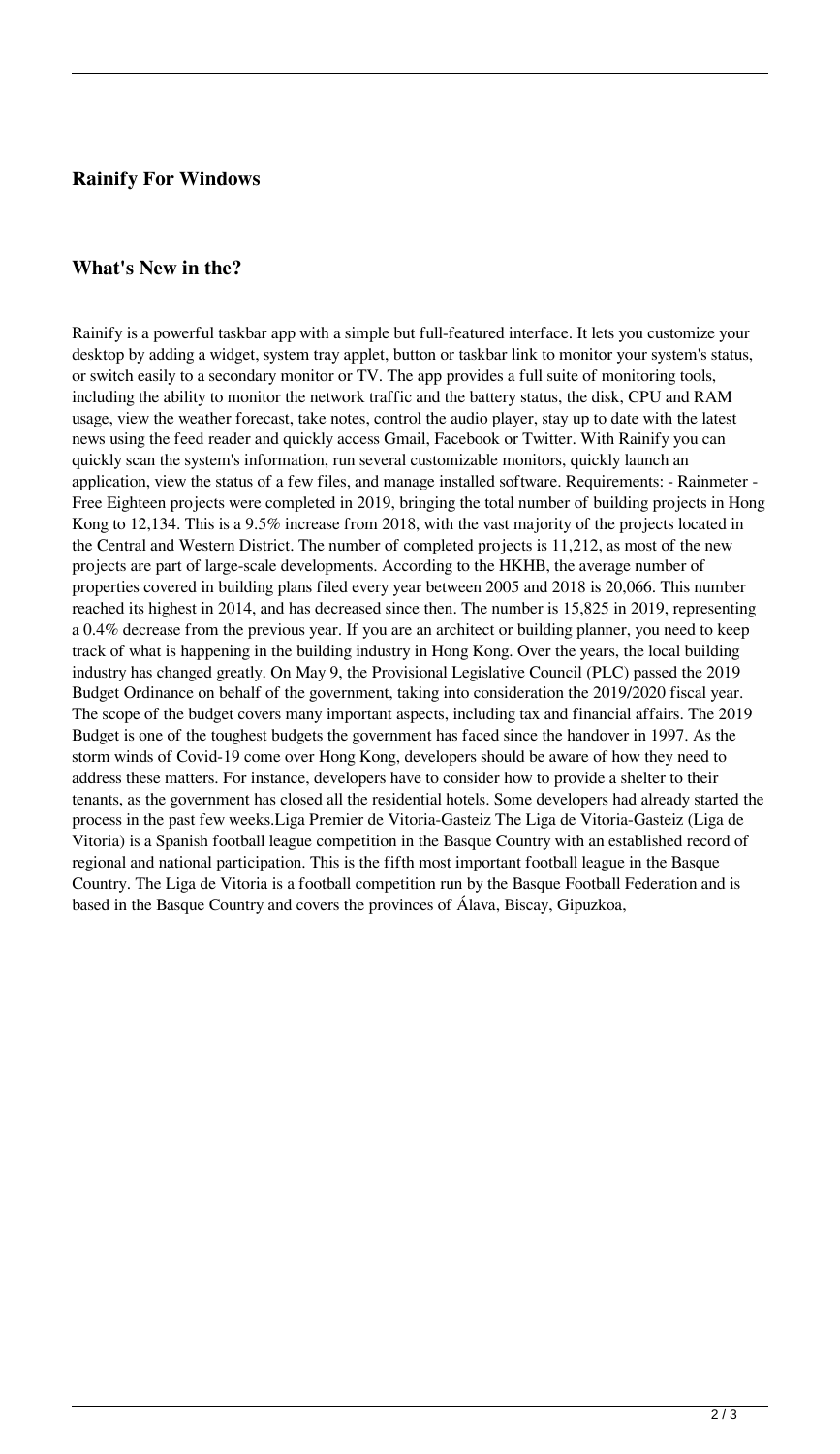### **Rainify For Windows**

### **What's New in the?**

Rainify is a powerful taskbar app with a simple but full-featured interface. It lets you customize your desktop by adding a widget, system tray applet, button or taskbar link to monitor your system's status, or switch easily to a secondary monitor or TV. The app provides a full suite of monitoring tools, including the ability to monitor the network traffic and the battery status, the disk, CPU and RAM usage, view the weather forecast, take notes, control the audio player, stay up to date with the latest news using the feed reader and quickly access Gmail, Facebook or Twitter. With Rainify you can quickly scan the system's information, run several customizable monitors, quickly launch an application, view the status of a few files, and manage installed software. Requirements: - Rainmeter - Free Eighteen projects were completed in 2019, bringing the total number of building projects in Hong Kong to 12,134. This is a 9.5% increase from 2018, with the vast majority of the projects located in the Central and Western District. The number of completed projects is 11,212, as most of the new projects are part of large-scale developments. According to the HKHB, the average number of properties covered in building plans filed every year between 2005 and 2018 is 20,066. This number reached its highest in 2014, and has decreased since then. The number is 15,825 in 2019, representing a 0.4% decrease from the previous year. If you are an architect or building planner, you need to keep track of what is happening in the building industry in Hong Kong. Over the years, the local building industry has changed greatly. On May 9, the Provisional Legislative Council (PLC) passed the 2019 Budget Ordinance on behalf of the government, taking into consideration the 2019/2020 fiscal year. The scope of the budget covers many important aspects, including tax and financial affairs. The 2019 Budget is one of the toughest budgets the government has faced since the handover in 1997. As the storm winds of Covid-19 come over Hong Kong, developers should be aware of how they need to address these matters. For instance, developers have to consider how to provide a shelter to their tenants, as the government has closed all the residential hotels. Some developers had already started the process in the past few weeks.Liga Premier de Vitoria-Gasteiz The Liga de Vitoria-Gasteiz (Liga de Vitoria) is a Spanish football league competition in the Basque Country with an established record of regional and national participation. This is the fifth most important football league in the Basque Country. The Liga de Vitoria is a football competition run by the Basque Football Federation and is based in the Basque Country and covers the provinces of Álava, Biscay, Gipuzkoa,